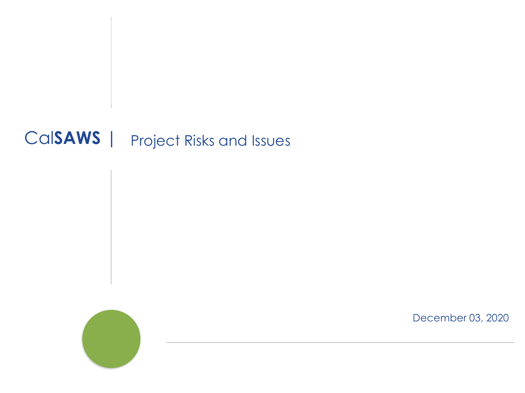## Cal**SAWS** | Project Risks and Issues



December 03, 2020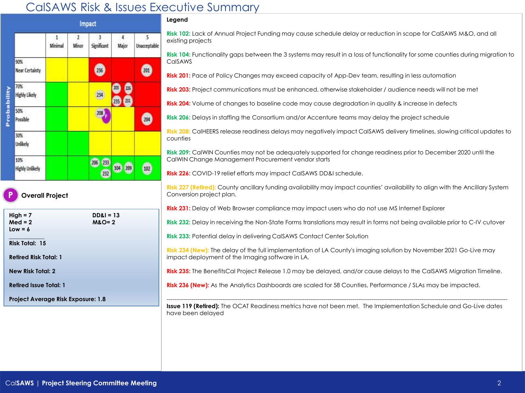## CalSAWS Risk & Issues Executive Summary



**New Risk Total: 2**

**Retired Issue Total: 1**

**Project Average Risk Exposure: 1.8**

## **Legend**

**Risk 102:** Lack of Annual Project Funding may cause schedule delay or reduction in scope for CalSAWS M&O, and all existing projects

**Risk 104:** Functionality gaps between the 3 systems may result in a loss of functionality for some counties during migration to **CalSAWS** 

**Risk 201:** Pace of Policy Changes may exceed capacity of App-Dev team, resulting in less automation

**Risk 203:** Project communications must be enhanced, otherwise stakeholder / audience needs will not be met

**Risk 204:** Volume of changes to baseline code may cause degradation in quality & increase in defects

**Risk 206:** Delays in staffing the Consortium and/or Accenture teams may delay the project schedule

**Risk 208:** CalHEERS release readiness delays may negatively impact CalSAWS delivery timelines, slowing critical updates to counties

**Risk 209:** CalWIN Counties may not be adequately supported for change readiness prior to December 2020 until the CalWIN Change Management Procurement vendor starts

**Risk 226:** COVID-19 relief efforts may impact CalSAWS DD&I schedule.

**Risk 227 (Retired):** County ancillary funding availability may impact counties' availability to align with the Ancillary System Conversion project plan.

**Risk 231:** Delay of Web Browser compliance may impact users who do not use MS Internet Explorer

**Risk 232:** Delay in receiving the Non-State Forms translations may result in forms not being available prior to C-IV cutover

**Risk 233:** Potential delay in delivering CalSAWS Contact Center Solution

**Risk 234 (New):** The delay of the full implementation of LA County's imaging solution by November 2021 Go-Live may impact deployment of the Imaging software in LA.

**Risk 235:** The BenefitsCal Project Release 1.0 may be delayed, and/or cause delays to the CalSAWS Migration Timeline.

**Risk 236 (New):** As the Analytics Dashboards are scaled for 58 Counties, Performance / SLAs may be impacted.

---------------------------------------------------------------------------------------------------------------------------------------------------------------------------------- **Issue 119 (Retired):** The OCAT Readiness metrics have not been met. The Implementation Schedule and Go-Live dates have been delayed